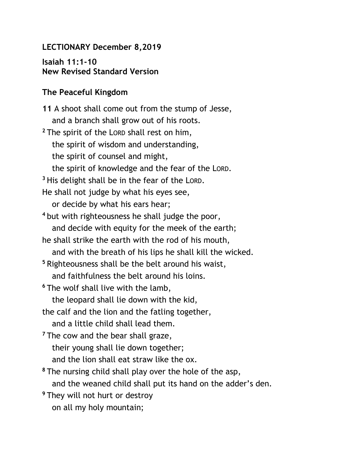## **LECTIONARY December 8,2019**

**Isaiah 11:1-10 New Revised Standard Version**

## **The Peaceful Kingdom**

**11** A shoot shall come out from the stump of Jesse, and a branch shall grow out of his roots. **<sup>2</sup>** The spirit of the LORD shall rest on him, the spirit of wisdom and understanding, the spirit of counsel and might, the spirit of knowledge and the fear of the LORD. **<sup>3</sup>** His delight shall be in the fear of the LORD. He shall not judge by what his eyes see, or decide by what his ears hear; **<sup>4</sup>** but with righteousness he shall judge the poor, and decide with equity for the meek of the earth; he shall strike the earth with the rod of his mouth, and with the breath of his lips he shall kill the wicked. **<sup>5</sup>** Righteousness shall be the belt around his waist, and faithfulness the belt around his loins. **<sup>6</sup>** The wolf shall live with the lamb, the leopard shall lie down with the kid, the calf and the lion and the fatling together, and a little child shall lead them. <sup>7</sup> The cow and the bear shall graze, their young shall lie down together; and the lion shall eat straw like the ox. **<sup>8</sup>** The nursing child shall play over the hole of the asp, and the weaned child shall put its hand on the adder's den. **<sup>9</sup>** They will not hurt or destroy on all my holy mountain;